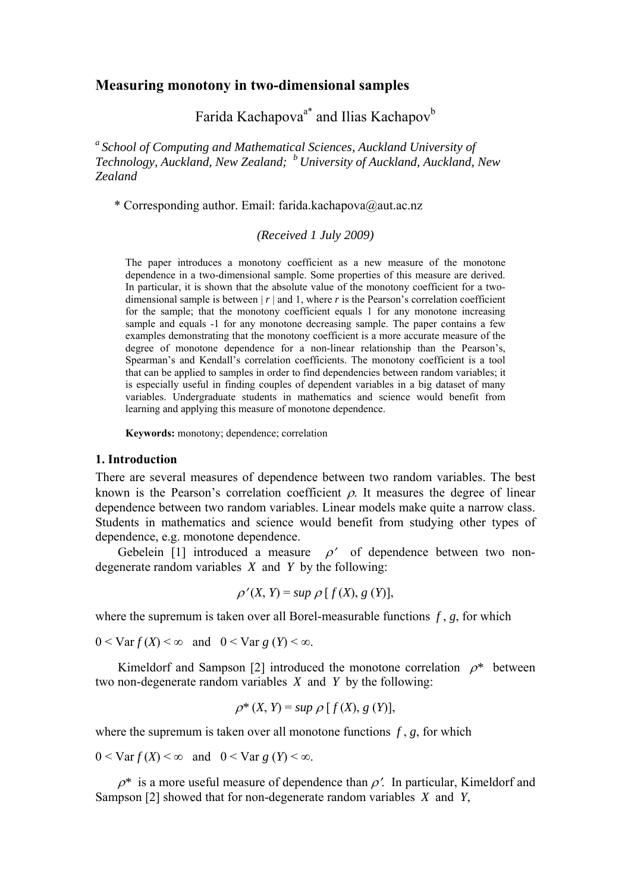# **Measuring monotony in two-dimensional samples**

Farida Kachapova<sup>a\*</sup> and Ilias Kachapov<sup>b</sup>

*a School of Computing and Mathematical Sciences, Auckland University of Technology, Auckland, New Zealand; b University of Auckland, Auckland, New Zealand* 

\* Corresponding author. Email: farida.kachapova@aut.ac.nz

*(Received 1 July 2009)* 

The paper introduces a monotony coefficient as a new measure of the monotone dependence in a two-dimensional sample. Some properties of this measure are derived. In particular, it is shown that the absolute value of the monotony coefficient for a twodimensional sample is between  $|r|$  and 1, where *r* is the Pearson's correlation coefficient for the sample; that the monotony coefficient equals 1 for any monotone increasing sample and equals -1 for any monotone decreasing sample. The paper contains a few examples demonstrating that the monotony coefficient is a more accurate measure of the degree of monotone dependence for a non-linear relationship than the Pearson's, Spearman's and Kendall's correlation coefficients. The monotony coefficient is a tool that can be applied to samples in order to find dependencies between random variables; it is especially useful in finding couples of dependent variables in a big dataset of many variables. Undergraduate students in mathematics and science would benefit from learning and applying this measure of monotone dependence.

**Keywords:** monotony; dependence; correlation

## **1. Introduction**

There are several measures of dependence between two random variables. The best known is the Pearson's correlation coefficient  $\rho$ . It measures the degree of linear dependence between two random variables. Linear models make quite a narrow class. Students in mathematics and science would benefit from studying other types of dependence, e.g. monotone dependence.

Gebelein [1] introduced a measure  $\rho'$  of dependence between two nondegenerate random variables *X* and *Y* by the following:

$$
\rho'(X, Y) = \sup \rho [f(X), g(Y)],
$$

where the supremum is taken over all Borel-measurable functions  $f$ ,  $g$ , for which

 $0 \leq \text{Var } f(X) \leq \infty$  and  $0 \leq \text{Var } g(Y) \leq \infty$ .

Kimeldorf and Sampson [2] introduced the monotone correlation  $\rho^*$  between two non-degenerate random variables *X* and *Y* by the following:

$$
\rho^*(X, Y) = \sup \rho [f(X), g(Y)],
$$

where the supremum is taken over all monotone functions  $f$ ,  $g$ , for which

 $0 < \text{Var } f(X) < \infty$  and  $0 < \text{Var } g(Y) < \infty$ .

 $\rho^*$  is a more useful measure of dependence than  $\rho'$ . In particular, Kimeldorf and Sampson [2] showed that for non-degenerate random variables *X* and *Y*,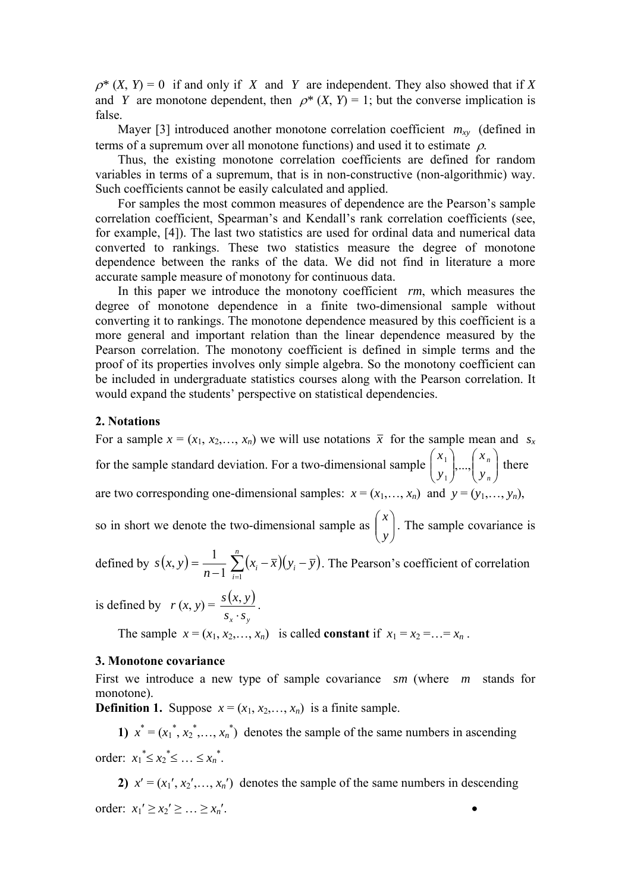$\rho^*$  (*X*, *Y*) = 0 if and only if *X* and *Y* are independent. They also showed that if *X* and *Y* are monotone dependent, then  $\rho^*$  (*X*, *Y*) = 1; but the converse implication is false.

Mayer [3] introduced another monotone correlation coefficient  $m_{xy}$  (defined in terms of a supremum over all monotone functions) and used it to estimate  $\rho$ .

Thus, the existing monotone correlation coefficients are defined for random variables in terms of a supremum, that is in non-constructive (non-algorithmic) way. Such coefficients cannot be easily calculated and applied.

For samples the most common measures of dependence are the Pearson's sample correlation coefficient, Spearman's and Kendall's rank correlation coefficients (see, for example, [4]). The last two statistics are used for ordinal data and numerical data converted to rankings. These two statistics measure the degree of monotone dependence between the ranks of the data. We did not find in literature a more accurate sample measure of monotony for continuous data.

In this paper we introduce the monotony coefficient *rm*, which measures the degree of monotone dependence in a finite two-dimensional sample without converting it to rankings. The monotone dependence measured by this coefficient is a more general and important relation than the linear dependence measured by the Pearson correlation. The monotony coefficient is defined in simple terms and the proof of its properties involves only simple algebra. So the monotony coefficient can be included in undergraduate statistics courses along with the Pearson correlation. It would expand the students' perspective on statistical dependencies.

### **2. Notations**

For a sample  $x = (x_1, x_2, \ldots, x_n)$  we will use notations  $\bar{x}$  for the sample mean and  $s_x$ for the sample standard deviation. For a two-dimensional sample  $\begin{bmatrix} x_1 \\ y_2 \end{bmatrix}$ ,...,  $\begin{bmatrix} x_n \\ y_n \end{bmatrix}$ ⎠ ⎞  $\Big\}$ ⎝  $\sqrt{2}$  $\overline{\phantom{a}}$ ⎠  $\setminus$  $\Big\}$ ⎝  $\sqrt{2}$ *n n y x y*  $x_1$ ,..., 1  $\left| \begin{array}{c} 1 \\ \ldots \end{array} \right|$   $\left| \begin{array}{c} \lambda_n \\ \end{array} \right|$  there are two corresponding one-dimensional samples:  $x = (x_1, \ldots, x_n)$  and  $y = (y_1, \ldots, y_n)$ ,

so in short we denote the two-dimensional sample as  $\begin{bmatrix} x \\ y \end{bmatrix}$ ⎠  $\setminus$  $\overline{\phantom{a}}$ ⎝  $\big($ *y x* . The sample covariance is

defined by  $s(x, y) = \frac{1}{n-1} \sum_{i=1}^{n} (x_i - \overline{x})(y_i - \overline{y})$ *n i*  $s(x, y) = \frac{1}{n-1} \sum_{i=1}^{n} (x_i - \overline{x})(y_i - \overline{y})$ . The Pearson's coefficient of correlation

is defined by  $r (x, y) = \frac{s(x, y)}{2}$  $S_x \cdot S_y$ *s x y* ⋅  $\frac{y}{x}$ .

The sample  $x = (x_1, x_2,..., x_n)$  is called **constant** if  $x_1 = x_2 = ... = x_n$ .

## **3. Monotone covariance**

First we introduce a new type of sample covariance *sm* (where *m* stands for monotone).

**Definition 1.** Suppose  $x = (x_1, x_2, \ldots, x_n)$  is a finite sample.

1)  $x^* = (x_1^*, x_2^*, \dots, x_n^*)$  denotes the sample of the same numbers in ascending order:  $x_1^* \le x_2^* \le ... \le x_n^*$ .

**2)**  $x' = (x_1', x_2', \ldots, x_n')$  denotes the sample of the same numbers in descending order:  $x_1' > x_2' > ... > x_n'$ .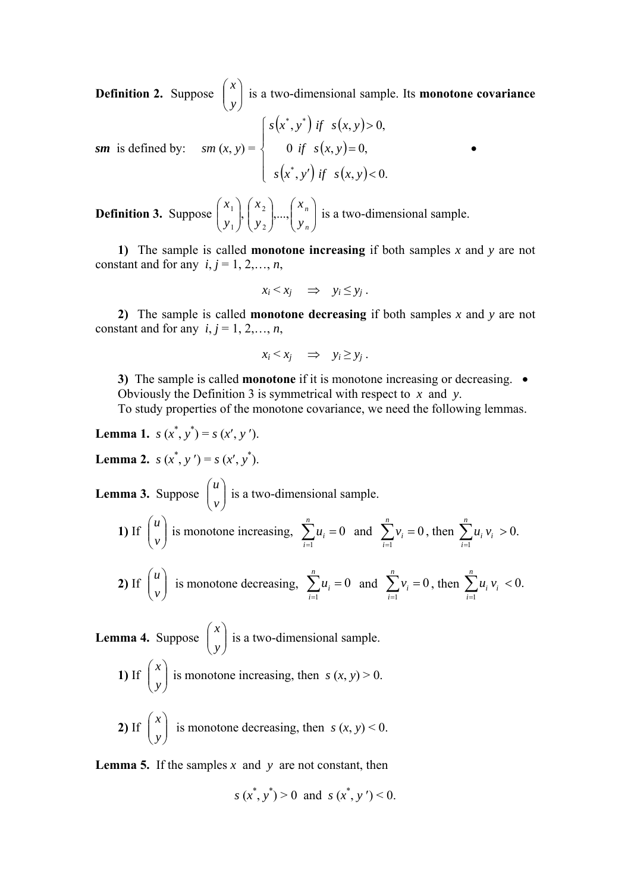**Definition 2.** Suppose  $\begin{bmatrix} x \\ y \end{bmatrix}$ ⎠ ⎞  $\parallel$ ⎝  $\big($ *y x* is a two-dimensional sample. Its **monotone covariance** 

$$
sm \text{ is defined by: } \quad sm(x, y) = \begin{cases} s(x^*, y^*) & \text{if } s(x, y) > 0, \\ 0 & \text{if } s(x, y) = 0, \\ s(x^*, y') & \text{if } s(x, y) < 0. \end{cases}
$$

**Definition 3.** Suppose  $\begin{bmatrix} x_1 \\ y_1 \end{bmatrix}, \begin{bmatrix} x_2 \\ y_2 \end{bmatrix},..., \begin{bmatrix} x_n \\ y_n \end{bmatrix}$ ⎠ ⎞  $\Big\}$ ⎝  $\big($  $\overline{\phantom{a}}$ ⎠ ⎞  $\vert$ ⎝  $\sqrt{}$  $\sqrt{2}$ ⎠  $\setminus$  $\overline{\phantom{a}}$ ⎝  $\big($ *n n y x y x y*  $\left[ x_1 \right]$ ,  $\left[ x_2 \right]$ ,..., 2 2 1  $\left[\begin{array}{c}1\end{array}\right], \left[\begin{array}{c}x_2\end{array}\right], \ldots, \left[\begin{array}{c}x_n\end{array}\right]$  is a two-dimensional sample.

**1)** The sample is called **monotone increasing** if both samples *x* and *y* are not constant and for any  $i, j = 1, 2, \ldots, n$ ,

$$
x_i \leq x_j \quad \Rightarrow \quad y_i \leq y_j \; .
$$

**2)** The sample is called **monotone decreasing** if both samples *x* and *y* are not constant and for any  $i, j = 1, 2, \ldots, n$ ,

$$
x_i \le x_j \quad \Rightarrow \quad y_i \ge y_j \; .
$$

**3)** The sample is called **monotone** if it is monotone increasing or decreasing.  $\bullet$ Obviously the Definition 3 is symmetrical with respect to *x* and *y*.

To study properties of the monotone covariance, we need the following lemmas.

**Lemma 1.** 
$$
s(x^*, y^*) = s(x', y')
$$
.  
\n**Lemma 2.**  $s(x^*, y') = s(x', y^*)$ .  
\n**Lemma 3.** Suppose  $\begin{pmatrix} u \\ v \end{pmatrix}$  is a two-dimensional sample.  
\n**1)** If  $\begin{pmatrix} u \\ v \end{pmatrix}$  is monotone increasing,  $\sum_{i=1}^{n} u_i = 0$  and  $\sum_{i=1}^{n} v_i = 0$ 

⎠

⎝

*v*

**2)** If 
$$
\begin{pmatrix} u \\ v \end{pmatrix}
$$
 is monotone decreasing,  $\sum_{i=1}^{n} u_i = 0$  and  $\sum_{i=1}^{n} v_i = 0$ , then  $\sum_{i=1}^{n} u_i v_i < 0$ .

 $\sum_{i=1}^n v_i =$ *i*

 $v_i = 0$ , then  $\sum u_i v_i > 0$ .

*i*

 $\sum_{i=1}^{n} u_i v_i >$ 

 $u_i v_i > 0$ .

*i*

**Lemma 4.** Suppose  $\begin{bmatrix} x \\ y \end{bmatrix}$ ⎠  $\setminus$  $\parallel$ ⎝  $\big($ *y x* is a two-dimensional sample. 1) If  $\begin{bmatrix} x \\ y \end{bmatrix}$ ⎠  $\setminus$  $\overline{\phantom{a}}$ ⎝  $\big($ *y x* is monotone increasing, then  $s(x, y) > 0$ .

**2**) If  $\begin{bmatrix} x \\ y \end{bmatrix}$ ⎠ ⎞  $\overline{\phantom{a}}$ ⎝  $\sqrt{}$ *y x* is monotone decreasing, then  $s(x, y) < 0$ .

**Lemma 5.** If the samples *x* and *y* are not constant, then

$$
s(x^*, y^*) > 0
$$
 and  $s(x^*, y') < 0$ .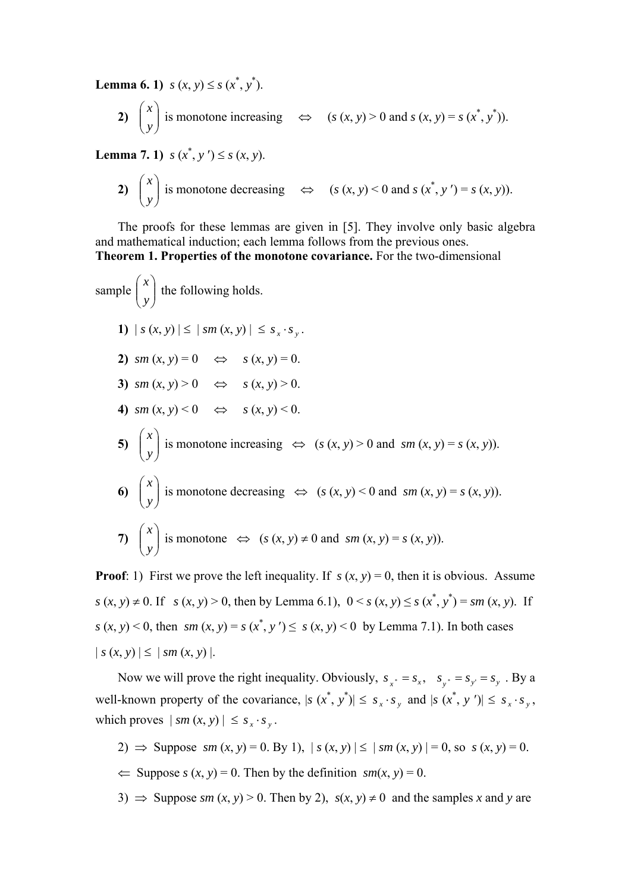**Lemma 6. 1)**  $s(x, y) \leq s(x^*, y^*)$ .

2) 
$$
\begin{pmatrix} x \\ y \end{pmatrix}
$$
 is monotone increasing  $\Leftrightarrow$   $(s(x, y) > 0 \text{ and } s(x, y) = s(x^*, y^*)$ .

**Lemma 7. 1**)  $s(x^*, y') \leq s(x, y)$ .

2) 
$$
\begin{pmatrix} x \\ y \end{pmatrix}
$$
 is monotone decreasing  $\Leftrightarrow$   $(s(x, y) < 0 \text{ and } s(x^*, y') = s(x, y)).$ 

The proofs for these lemmas are given in [5]. They involve only basic algebra and mathematical induction; each lemma follows from the previous ones. **Theorem 1. Properties of the monotone covariance.** For the two-dimensional

sample 
$$
\begin{pmatrix} x \\ y \end{pmatrix}
$$
 the following holds.  
\n1)  $|s(x, y)| \le |sm(x, y)| \le s_x \cdot s_y$ .  
\n2)  $sm(x, y) = 0 \iff s(x, y) = 0$ .  
\n3)  $sm(x, y) > 0 \iff s(x, y) > 0$ .  
\n4)  $sm(x, y) < 0 \iff s(x, y) < 0$ .  
\n5)  $\begin{pmatrix} x \\ y \end{pmatrix}$  is monotone increasing  $\iff (s(x, y) > 0 \text{ and } sm(x, y) = s(x, y))$ .  
\n6)  $\begin{pmatrix} x \\ y \end{pmatrix}$  is monotone decreasing  $\iff (s(x, y) < 0 \text{ and } sm(x, y) = s(x, y))$ .  
\n7)  $\begin{pmatrix} x \\ y \end{pmatrix}$  is monotone  $\iff (s(x, y) \neq 0 \text{ and } sm(x, y) = s(x, y))$ .

**Proof**: 1) First we prove the left inequality. If  $s(x, y) = 0$ , then it is obvious. Assume *s* (*x*, *y*) ≠ 0. If *s* (*x*, *y*) > 0, then by Lemma 6.1),  $0 < s$  (*x*, *y*) ≤ *s* ( $x$ <sup>\*</sup>,  $y$ <sup>\*</sup>) = *sm* (*x*, *y*). If  $s(x, y) < 0$ , then  $sm(x, y) = s(x^*, y') \le s(x, y) < 0$  by Lemma 7.1). In both cases  $| s (x, y) | \le | sm (x, y) |$ .

Now we will prove the right inequality. Obviously,  $s_{y*} = s_{x*}$ ,  $s_{y*} = s_{y*} = s_{y*}$ . By a well-known property of the covariance,  $|s(x^*, y^*)| \leq s_x \cdot s_y$  and  $|s(x^*, y^*)| \leq s_x \cdot s_y$ , which proves  $|\, sm(x, y) | \leq s_y \cdot s_y$ .

- 2)  $\Rightarrow$  Suppose *sm* (*x*, *y*) = 0. By 1),  $|s(x, y)| \le |sm(x, y)| = 0$ , so  $s(x, y) = 0$ .  $\Leftarrow$  Suppose *s* (*x*, *y*) = 0. Then by the definition *sm*(*x*, *y*) = 0.
- 3)  $\Rightarrow$  Suppose *sm* (*x*, *y*) > 0. Then by 2), *s*(*x*, *y*)  $\neq$  0 and the samples *x* and *y* are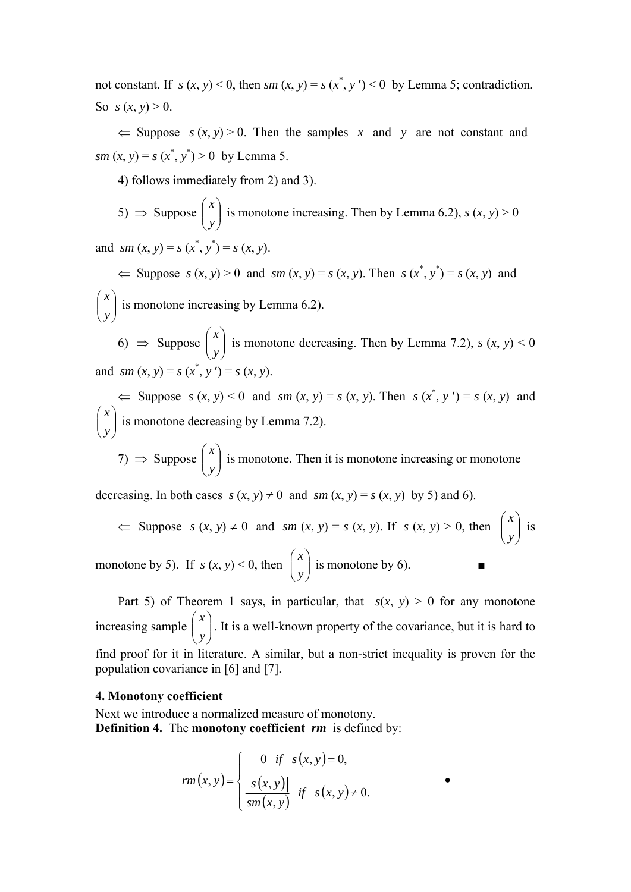not constant. If  $s(x, y) < 0$ , then  $sm(x, y) = s(x^*, y') < 0$  by Lemma 5; contradiction. So  $s(x, y) > 0$ .

 $\Leftarrow$  Suppose  $s(x, y) > 0$ . Then the samples x and y are not constant and *sm*  $(x, y) = s(x^*, y^*) > 0$  by Lemma 5.

4) follows immediately from 2) and 3).

5) 
$$
\Rightarrow
$$
 Suppose  $\begin{pmatrix} x \\ y \end{pmatrix}$  is monotone increasing. Then by Lemma 6.2),  $s(x, y) > 0$ 

and *sm*  $(x, y) = s(x^*, y^*) = s(x, y)$ .

 $\Leftarrow$  Suppose  $s(x, y) > 0$  and  $sm(x, y) = s(x, y)$ . Then  $s(x^*, y^*) = s(x, y)$  and  $\overline{\phantom{a}}$ ⎠ ⎞  $\parallel$ ⎝  $\sqrt{}$ *y x* is monotone increasing by Lemma 6.2).

6)  $\Rightarrow$  Suppose  $\begin{pmatrix} x \\ y \end{pmatrix}$ ⎠ ⎞  $\overline{\phantom{a}}$ ⎝  $\big($ *y x* is monotone decreasing. Then by Lemma 7.2),  $s(x, y) < 0$ and *sm*  $(x, y) = s(x^*, y') = s(x, y)$ .

 $\Leftarrow$  Suppose  $s(x, y) < 0$  and  $sm(x, y) = s(x, y)$ . Then  $s(x^*, y') = s(x, y)$  and  $\overline{\phantom{a}}$ ⎠ ⎞  $\parallel$ ⎝  $\big($ *y x* is monotone decreasing by Lemma 7.2).

7)  $\Rightarrow$  Suppose  $\begin{pmatrix} x \\ y \end{pmatrix}$ ⎠ ⎞  $\parallel$ ⎝  $\big($ *y x* is monotone. Then it is monotone increasing or monotone

decreasing. In both cases  $s(x, y) \neq 0$  and  $sm(x, y) = s(x, y)$  by 5) and 6).

$$
≤\n Suppose s (x, y) ≠ 0 and sm (x, y) = s (x, y). If s (x, y) > 0, then\n  $\begin{pmatrix} x \\ y \end{pmatrix}$  is monotone by 5). If s (x, y) < 0, then\n  $\begin{pmatrix} x \\ y \end{pmatrix}$  is monotone by 6.
$$

Part 5) of Theorem 1 says, in particular, that  $s(x, y) > 0$  for any monotone increasing sample  $\begin{bmatrix} x \\ y \end{bmatrix}$ ⎠ ⎞  $\overline{\phantom{a}}$ ⎝  $\big($ *y x* . It is a well-known property of the covariance, but it is hard to find proof for it in literature. A similar, but a non-strict inequality is proven for the population covariance in [6] and [7].

#### **4. Monotony coefficient**

Next we introduce a normalized measure of monotony. **Definition 4.** The **monotony coefficient** *rm* is defined by:

$$
rm(x, y) = \begin{cases} 0 & \text{if } s(x, y) = 0, \\ \frac{|s(x, y)|}{sm(x, y)} & \text{if } s(x, y) \neq 0. \end{cases}
$$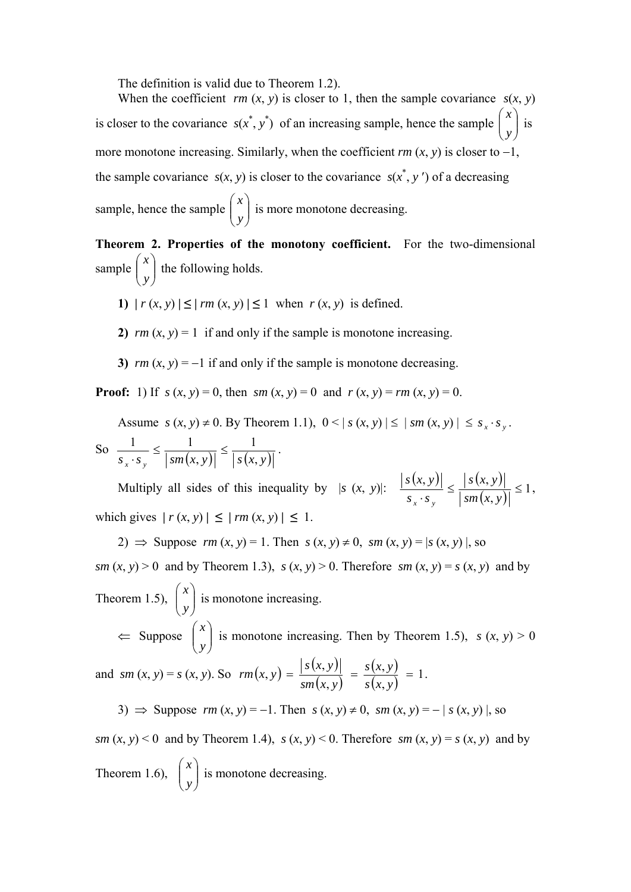The definition is valid due to Theorem 1.2).

When the coefficient  $rm(x, y)$  is closer to 1, then the sample covariance  $s(x, y)$ is closer to the covariance  $s(x^*, y^*)$  of an increasing sample, hence the sample  $\begin{bmatrix} x \\ y \end{bmatrix}$ ⎠  $\setminus$  $\parallel$ ⎝  $\sqrt{ }$ *y x* is more monotone increasing. Similarly, when the coefficient  $rm(x, y)$  is closer to  $-1$ , the sample covariance  $s(x, y)$  is closer to the covariance  $s(x^*, y')$  of a decreasing sample, hence the sample  $\begin{pmatrix} x \\ y \end{pmatrix}$ ⎠  $\setminus$  $\overline{\phantom{a}}$ ⎝  $\big($ *y x* is more monotone decreasing.

**Theorem 2. Properties of the monotony coefficient.** For the two-dimensional sample  $\left| \begin{array}{c} x \\ y \end{array} \right|$ ⎠  $\setminus$  $\overline{\phantom{a}}$ ⎝  $\big($ *y x* the following holds.

- 1)  $|r (x, y)| \le |rm (x, y)| \le 1$  when  $r (x, y)$  is defined.
- **2)**  $rm(x, y) = 1$  if and only if the sample is monotone increasing.
- **3)**  $rm(x, y) = -1$  if and only if the sample is monotone decreasing.

**Proof:** 1) If  $s(x, y) = 0$ , then  $sm(x, y) = 0$  and  $r(x, y) = rm(x, y) = 0$ .

Assume  $s(x, y) \neq 0$ . By Theorem 1.1),  $0 < |s(x, y)| \leq |sm(x, y)| \leq s_x \cdot s_y$ .

So 
$$
\frac{1}{s_x \cdot s_y} \le \frac{1}{|sm(x, y)|} \le \frac{1}{|s(x, y)|}.
$$

Multiply all sides of this inequality by  $|s(x, y)|:$   $\frac{|s(x, y)|}{|s(x, y)|} \leq \frac{|s(x, y)|}{|s(x, y)|}$  $\left| \frac{s(x, y)}{s \cdot s} \right| \le \frac{\left| s(x, y) \right|}{\left| s m(x, y) \right|} \le 1$  $S_{r} \cdot S$ *s x y x y* , which gives  $|r(x, y)| \le |rm(x, y)| \le 1$ .

2)  $\Rightarrow$  Suppose  $rm(x, y) = 1$ . Then  $s(x, y) \neq 0$ ,  $sm(x, y) = |s(x, y)|$ , so *sm* (*x*, *y*) > 0 and by Theorem 1.3),  $s(x, y) > 0$ . Therefore *sm* (*x*, *y*) = *s* (*x*, *y*) and by Theorem 1.5),  $\begin{bmatrix} x \\ y \end{bmatrix}$ ⎠  $\mathcal{L}$  $\overline{\phantom{a}}$ ⎝  $\big($ *y x* is monotone increasing.  $\Leftarrow$  Suppose  $\begin{bmatrix} x \\ y \end{bmatrix}$ ⎠ ⎞  $\parallel$ ⎝  $\sqrt{}$ *y x* is monotone increasing. Then by Theorem 1.5),  $s(x, y) > 0$ and *sm*  $(x, y) = s(x, y)$ . So  $rm(x, y) = \frac{|s(x, y)|}{?}$  $(x, y)$  $\frac{(x, y)}{(x, y)} = 1$  $f(x, y) = \frac{|s(x, y)|}{sm(x, y)} = \frac{s(x, y)}{s(x, y)} =$  $sm(x, y)$ *s x y*  $rm(x, y) = \frac{y(x, y)}{(x - y)} = \frac{y(x, y)}{(x - y)} = 1.$ 

3) ⇒ Suppose  $rm(x, y) = -1$ . Then  $s(x, y) \ne 0$ ,  $sm(x, y) = -|s(x, y)|$ , so *sm* (*x*, *y*) < 0 and by Theorem 1.4),  $s(x, y)$  < 0. Therefore  $sm(x, y) = s(x, y)$  and by Theorem 1.6),  $\begin{bmatrix} x \\ y \end{bmatrix}$ ⎠ ⎞  $\overline{\phantom{a}}$ ⎝  $\big($ *y x* is monotone decreasing.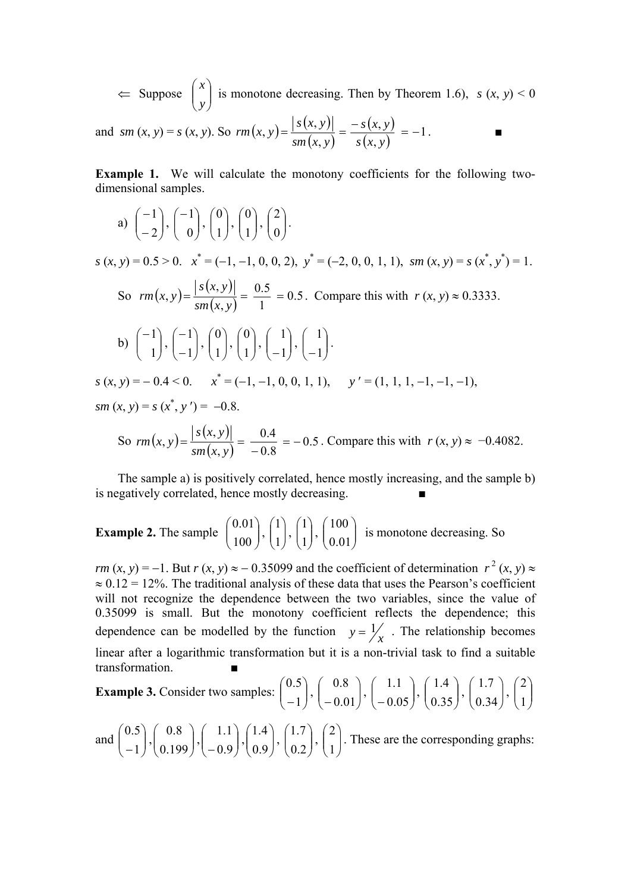$\Leftarrow$  Suppose  $\begin{bmatrix} x \\ y \end{bmatrix}$ ⎠ ⎞  $\parallel$ ⎝  $\big($ *y x* is monotone decreasing. Then by Theorem 1.6),  $s(x, y) < 0$ 

and 
$$
sm(x, y) = s(x, y)
$$
. So  $rm(x, y) = \frac{|s(x, y)|}{sm(x, y)} = \frac{-s(x, y)}{s(x, y)} = -1$ .

**Example 1.** We will calculate the monotony coefficients for the following twodimensional samples.

a) 
$$
\begin{pmatrix} -1 \\ -2 \end{pmatrix}, \begin{pmatrix} -1 \\ 0 \end{pmatrix}, \begin{pmatrix} 0 \\ 1 \end{pmatrix}, \begin{pmatrix} 0 \\ 1 \end{pmatrix}, \begin{pmatrix} 2 \\ 0 \end{pmatrix}.
$$

 $s(x, y) = 0.5 > 0$ .  $x^* = (-1, -1, 0, 0, 2)$ ,  $y^* = (-2, 0, 0, 1, 1)$ ,  $sm(x, y) = s(x^*, y^*) = 1$ . So  $rm(x, y) = \frac{|s(x, y)|}{\sqrt{x}}$  $\frac{x(y)}{(x, y)} = \frac{0.5}{1} = 0.5$ 0.5  $(x, y) = \frac{|s(x, y)|}{sm(x, y)} = \frac{0.5}{1}$  $rm(x, y) = \frac{|\mathcal{F}(x, y)|}{\sqrt{2}} = \frac{0.5}{1.5} = 0.5$ . Compare this with  $r(x, y) \approx 0.3333$ . b)  $\begin{pmatrix} 1 \\ 1 \end{pmatrix}$ ⎠ ⎞  $\overline{\phantom{a}}$ ⎝ ⎛−  $\begin{pmatrix} 1 \\ 1 \end{pmatrix}, \begin{pmatrix} -1 \\ -1 \end{pmatrix}$ ⎠ ⎞  $\parallel$ ⎝  $\big($ − −  $\begin{pmatrix} 1 \\ 1 \end{pmatrix}, \begin{pmatrix} 0 \\ 1 \end{pmatrix}$ ⎠ ⎞  $\parallel$ ⎝  $\big($  $\begin{pmatrix} 0 \\ 1 \end{pmatrix}$ ,  $\begin{pmatrix} 0 \\ 1 \end{pmatrix}$ ⎠ ⎞  $\parallel$ ⎝  $\big($  $\begin{pmatrix} 0 \\ 1 \end{pmatrix}, \begin{pmatrix} 1 \\ -1 \end{pmatrix}$ ⎠ ⎞  $\parallel$ ⎝  $\big($  $\begin{pmatrix} 1 \\ -1 \end{pmatrix}, \begin{pmatrix} 1 \\ -1 \end{pmatrix}$ ⎠ ⎞  $\overline{\phantom{a}}$ ⎝  $\big($ −1  $\begin{bmatrix} 1 \\ . \end{bmatrix}$ .

*s* (*x*, *y*) = − 0.4 < 0. *x*<sup>\*</sup> = (−1, −1, 0, 0, 1, 1), *y'* = (1, 1, 1, −1, −1, −1),  $sm(x, y) = s(x^*, y') = -0.8.$ 

So 
$$
rm(x, y) = \frac{|s(x, y)|}{sm(x, y)} = \frac{0.4}{-0.8} = -0.5
$$
. Compare this with  $r(x, y) \approx -0.4082$ .

The sample a) is positively correlated, hence mostly increasing, and the sample b) is negatively correlated, hence mostly decreasing.

**Example 2.** The sample 
$$
\begin{pmatrix} 0.01 \\ 100 \end{pmatrix}
$$
,  $\begin{pmatrix} 1 \\ 1 \end{pmatrix}$ ,  $\begin{pmatrix} 100 \\ 1 \end{pmatrix}$  is monotone decreasing. So

*rm* (*x*, *y*) = −1. But *r* (*x*, *y*) ≈ − 0.35099 and the coefficient of determination  $r^2$  (*x*, *y*) ≈  $\approx 0.12 = 12\%$ . The traditional analysis of these data that uses the Pearson's coefficient will not recognize the dependence between the two variables, since the value of 0.35099 is small. But the monotony coefficient reflects the dependence; this dependence can be modelled by the function  $y = \frac{1}{x}$ . The relationship becomes linear after a logarithmic transformation but it is a non-trivial task to find a suitable transformation

**Example 3.** Consider two samples: 
$$
\begin{pmatrix} 0.5 \\ -1 \end{pmatrix}
$$
,  $\begin{pmatrix} 0.8 \\ -0.01 \end{pmatrix}$ ,  $\begin{pmatrix} 1.1 \\ -0.05 \end{pmatrix}$ ,  $\begin{pmatrix} 1.4 \\ 0.35 \end{pmatrix}$ ,  $\begin{pmatrix} 1.7 \\ 0.34 \end{pmatrix}$ ,  $\begin{pmatrix} 2 \\ 1 \end{pmatrix}$ 

and  $\begin{bmatrix} 0.5 \\ -1 \end{bmatrix}$ ⎠ ⎞  $\overline{\phantom{a}}$ ⎝  $\big($  $\begin{pmatrix} 0.5 \\ -1 \end{pmatrix}, \begin{pmatrix} 0.8 \\ 0.199 \end{pmatrix}$ ⎠ ⎞  $\parallel$ ⎝  $\sqrt{}$  $\binom{0.8}{0.199}, \binom{1.1}{-0.9}$ ⎠ ⎞  $\parallel$ ⎝  $\big($  $\begin{pmatrix} 1.1 \\ -0.9 \end{pmatrix}, \begin{pmatrix} 1.4 \\ 0.9 \end{pmatrix}$ ⎠ ⎞  $\parallel$ ⎝  $\sqrt{}$  $\binom{1.4}{0.9}$ ,  $\binom{1.7}{0.2}$ ⎠  $\setminus$  $\parallel$ ⎝  $\big($  $\begin{pmatrix} 1.7 \\ 0.2 \end{pmatrix}, \begin{pmatrix} 2 \\ 1 \end{pmatrix}$ ⎠  $\setminus$  $\vert$ ⎝  $\sqrt{2}$ 1 2 . These are the corresponding graphs: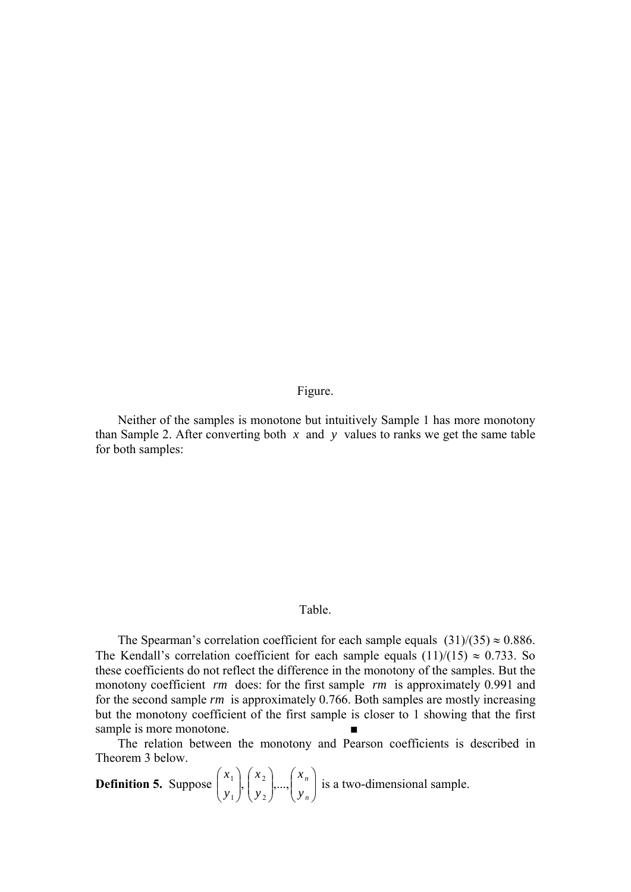Figure.

Neither of the samples is monotone but intuitively Sample 1 has more monotony than Sample 2. After converting both  $x$  and  $y$  values to ranks we get the same table for both samples:

### Table.

The Spearman's correlation coefficient for each sample equals  $(31)/(35) \approx 0.886$ . The Kendall's correlation coefficient for each sample equals  $(11)/(15) \approx 0.733$ . So these coefficients do not reflect the difference in the monotony of the samples. But the monotony coefficient *rm* does: for the first sample *rm* is approximately 0.991 and for the second sample *rm* is approximately 0.766. Both samples are mostly increasing but the monotony coefficient of the first sample is closer to 1 showing that the first sample is more monotone.

The relation between the monotony and Pearson coefficients is described in Theorem 3 below.

**Definition 5.** Suppose  $\begin{bmatrix} x_1 \\ y_1 \end{bmatrix}, \begin{bmatrix} x_2 \\ y_2 \end{bmatrix},..., \begin{bmatrix} x_n \\ y_n \end{bmatrix}$ ⎠ ⎞  $\Big\}$ ⎝  $\big($  $\overline{\phantom{a}}$ ⎠ ⎞  $\overline{\phantom{a}}$ ⎝  $\sqrt{2}$  $\sqrt{2}$ ⎠  $\setminus$  $\overline{\phantom{a}}$ ⎝  $\big($ *n n y x y x y*  $\left[ x_1 \right]_2 \left[ x_2 \right]_2 \ldots$ 2 2 1  $\left[\begin{array}{c}1\end{array}\right], \left[\begin{array}{c}1\end{array}\right], \ldots, \left[\begin{array}{c}1\end{array}\right]$  is a two-dimensional sample.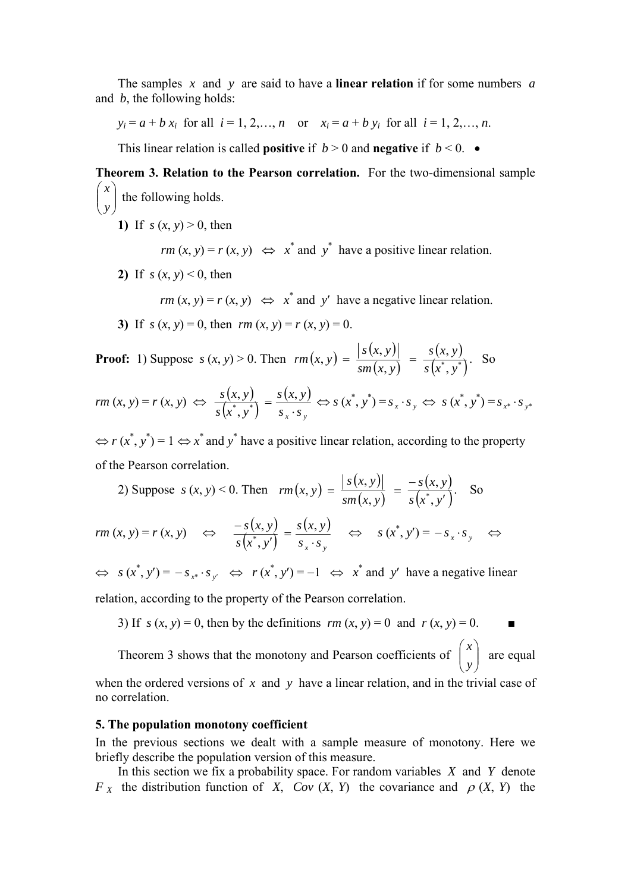The samples *x* and *y* are said to have a **linear relation** if for some numbers *a* and *b*, the following holds:

 $y_i = a + b x_i$  for all  $i = 1, 2, ..., n$  or  $x_i = a + b y_i$  for all  $i = 1, 2, ..., n$ .

This linear relation is called **positive** if  $b > 0$  and **negative** if  $b < 0$ .

**Theorem 3. Relation to the Pearson correlation.** For the two-dimensional sample  $\sqrt{2}$ ⎠ ⎞  $\parallel$ ⎝  $\big($ *y x* the following holds.

**1)** If  $s(x, y) > 0$ , then

*rm*  $(x, y) = r(x, y) \Leftrightarrow x^*$  and  $y^*$  have a positive linear relation.

**2)** If  $s(x, y) < 0$ , then

*rm*  $(x, y) = r(x, y) \Leftrightarrow x^*$  and *y'* have a negative linear relation.

**3)** If  $s(x, y) = 0$ , then  $rm(x, y) = r(x, y) = 0$ .

**Proof:** 1) Suppose  $s(x, y) > 0$ . Then  $rm(x, y) = \frac{|s(x, y)|}{\sqrt{2}}$  $(x, y)$  $(x, y)$  $(x^*, y^*)$ ՝,  $f(x, y) = \frac{|s(x, y)|}{sm(x, y)} = \frac{s(x, y)}{s(x^*, y)}$  $sm(x, y)$ *s x y*  $rm(x, y) = \frac{S(x, y)}{(x, y)} = \frac{S(x, y)}{(x, y)}$ . So

$$
rm (x, y) = r (x, y) \Leftrightarrow \frac{s(x, y)}{s(x^*, y^*)} = \frac{s(x, y)}{s_x \cdot s_y} \Leftrightarrow s(x^*, y^*) = s_x \cdot s_y \Leftrightarrow s(x^*, y^*) = s_{x^*} \cdot s_{y^*}
$$

 $\Leftrightarrow r(x^*, y^*) = 1 \Leftrightarrow x^*$  and  $y^*$  have a positive linear relation, according to the property of the Pearson correlation.

2) Suppose 
$$
s(x, y) < 0
$$
. Then  $rm(x, y) = \frac{|s(x, y)|}{sm(x, y)} = \frac{-s(x, y)}{s(x^*, y')}$ . So  
\n $rm(x, y) = r(x, y) \iff \frac{-s(x, y)}{s(x^*, y')} = \frac{s(x, y)}{s_x \cdot s_y} \iff s(x^*, y') = -s_x \cdot s_y \iff$ 

 $\Leftrightarrow$   $s(x^*, y') = -s_{x^*} \cdot s_{y'} \Leftrightarrow r(x^*, y') = -1 \Leftrightarrow x^*$  and  $y'$  have a negative linear

relation, according to the property of the Pearson correlation.

3) If  $s(x, y) = 0$ , then by the definitions  $rm(x, y) = 0$  and  $r(x, y) = 0$ .

Theorem 3 shows that the monotony and Pearson coefficients of  $\begin{bmatrix} x \\ y \end{bmatrix}$ ⎠ ⎞  $\overline{\phantom{a}}$ ⎝  $\sqrt{2}$ *y x* are equal

when the ordered versions of *x* and *y* have a linear relation, and in the trivial case of no correlation.

## **5. The population monotony coefficient**

In the previous sections we dealt with a sample measure of monotony. Here we briefly describe the population version of this measure.

In this section we fix a probability space. For random variables *X* and *Y* denote *F x* the distribution function of *X*, *Cov* (*X*, *Y*) the covariance and  $\rho$  (*X*, *Y*) the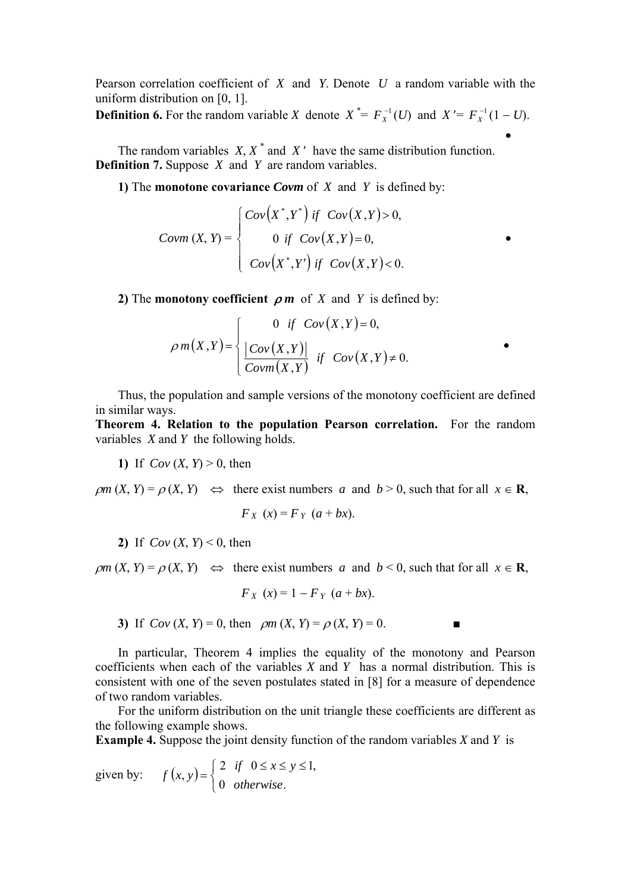Pearson correlation coefficient of *X* and *Y*. Denote *U* a random variable with the uniform distribution on [0, 1].

**Definition 6.** For the random variable *X* denote  $X^* = F_X^{-1}(U)$  and  $X' = F_X^{-1}(1-U)$ . •

The random variables  $X, X^*$  and  $X'$  have the same distribution function. **Definition 7.** Suppose *X* and *Y* are random variables.

**1)** The **monotone covariance** *Covm* of *X* and *Y* is defined by:

$$
Covm(X, Y) = \begin{cases} Cov(X^*, Y^*) & \text{if } Cov(X, Y) > 0, \\ 0 & \text{if } Cov(X, Y) = 0, \\ Cov(X^*, Y') & \text{if } Cov(X, Y) < 0. \end{cases}
$$

**2)** The **monotony coefficient**  $\rho$  *m* of *X* and *Y* is defined by:

$$
\rho m(X,Y) = \begin{cases} 0 & \text{if } Cov(X,Y) = 0, \\ \frac{|Cov(X,Y)|}{Covm(X,Y)} & \text{if } Cov(X,Y) \neq 0. \end{cases}
$$

Thus, the population and sample versions of the monotony coefficient are defined in similar ways.

•

**Theorem 4. Relation to the population Pearson correlation.** For the random variables *X* and *Y* the following holds.

**1)** If  $Cov(X, Y) > 0$ , then

 $\rho m$  (*X*, *Y*) =  $\rho$  (*X*, *Y*)  $\Leftrightarrow$  there exist numbers *a* and *b* > 0, such that for all  $x \in \mathbb{R}$ ,

$$
F_X(x) = F_Y(a+bx).
$$

**2)** If  $Cov(X, Y) \leq 0$ , then

 $\rho m$  (*X*, *Y*) =  $\rho$  (*X*, *Y*)  $\Leftrightarrow$  there exist numbers *a* and *b* < 0, such that for all  $x \in \mathbb{R}$ ,

$$
F_X(x) = 1 - F_Y(a + bx).
$$

**3)** If  $Cov(X, Y) = 0$ , then  $\rho m(X, Y) = \rho(X, Y) = 0$ .

In particular, Theorem 4 implies the equality of the monotony and Pearson coefficients when each of the variables *X* and *Y* has a normal distribution. This is consistent with one of the seven postulates stated in [8] for a measure of dependence of two random variables.

For the uniform distribution on the unit triangle these coefficients are different as the following example shows.

**Example 4.** Suppose the joint density function of the random variables *X* and *Y* is

given by:  $f(x, y)$  $\overline{a}$  $f(x, y) = \begin{cases} 2 & \text{if} \quad 0 \leq x \leq y \leq 1, \\ 0 & \text{otherwise.} \end{cases}$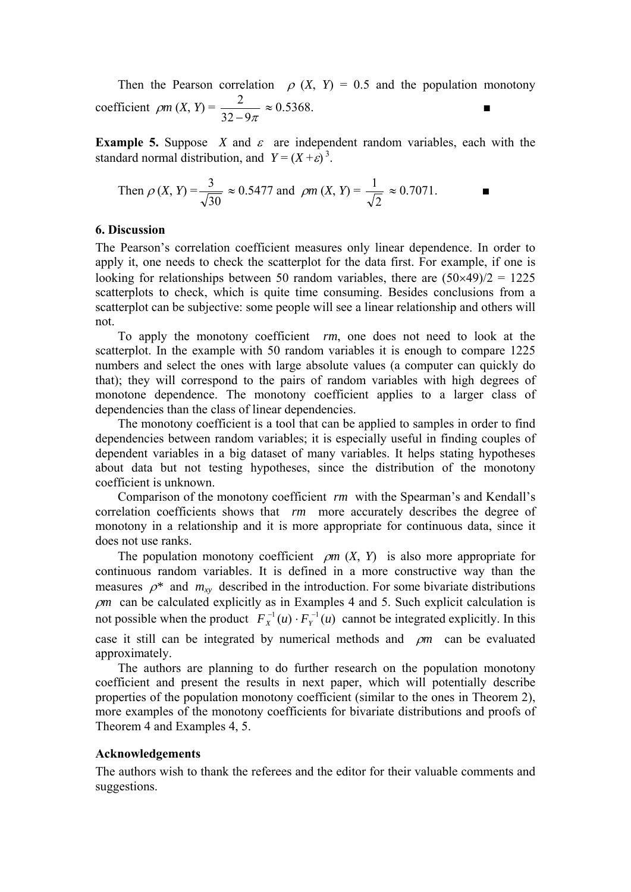Then the Pearson correlation  $\rho$  (*X*, *Y*) = 0.5 and the population monotony coefficient  $\rho m (X, Y) = \frac{2}{32 - 9\pi} \approx 0.5368.$ 

**Example 5.** Suppose *X* and  $\varepsilon$  are independent random variables, each with the standard normal distribution, and  $Y = (X + \varepsilon)^3$ .

Then 
$$
\rho(X, Y) = \frac{3}{\sqrt{30}} \approx 0.5477
$$
 and  $\rho m(X, Y) = \frac{1}{\sqrt{2}} \approx 0.7071$ .

## **6. Discussion**

The Pearson's correlation coefficient measures only linear dependence. In order to apply it, one needs to check the scatterplot for the data first. For example, if one is looking for relationships between 50 random variables, there are  $(50 \times 49)/2 = 1225$ scatterplots to check, which is quite time consuming. Besides conclusions from a scatterplot can be subjective: some people will see a linear relationship and others will not.

To apply the monotony coefficient *rm*, one does not need to look at the scatterplot. In the example with 50 random variables it is enough to compare 1225 numbers and select the ones with large absolute values (a computer can quickly do that); they will correspond to the pairs of random variables with high degrees of monotone dependence. The monotony coefficient applies to a larger class of dependencies than the class of linear dependencies.

The monotony coefficient is a tool that can be applied to samples in order to find dependencies between random variables; it is especially useful in finding couples of dependent variables in a big dataset of many variables. It helps stating hypotheses about data but not testing hypotheses, since the distribution of the monotony coefficient is unknown.

Comparison of the monotony coefficient *rm* with the Spearman's and Kendall's correlation coefficients shows that *rm* more accurately describes the degree of monotony in a relationship and it is more appropriate for continuous data, since it does not use ranks.

The population monotony coefficient  $\rho m$  (*X*, *Y*) is also more appropriate for continuous random variables. It is defined in a more constructive way than the measures  $\rho^*$  and  $m_{xy}$  described in the introduction. For some bivariate distributions <sup>ρ</sup>*m* can be calculated explicitly as in Examples 4 and 5. Such explicit calculation is not possible when the product  $F_X^{-1}(u) \cdot F_Y^{-1}(u)$  cannot be integrated explicitly. In this case it still can be integrated by numerical methods and ρ*m* can be evaluated approximately.

The authors are planning to do further research on the population monotony coefficient and present the results in next paper, which will potentially describe properties of the population monotony coefficient (similar to the ones in Theorem 2), more examples of the monotony coefficients for bivariate distributions and proofs of Theorem 4 and Examples 4, 5.

### **Acknowledgements**

The authors wish to thank the referees and the editor for their valuable comments and suggestions.